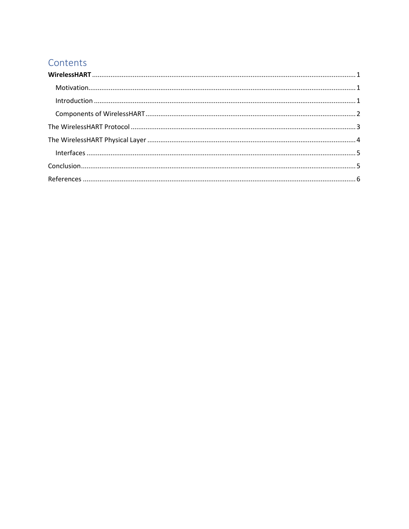# Contents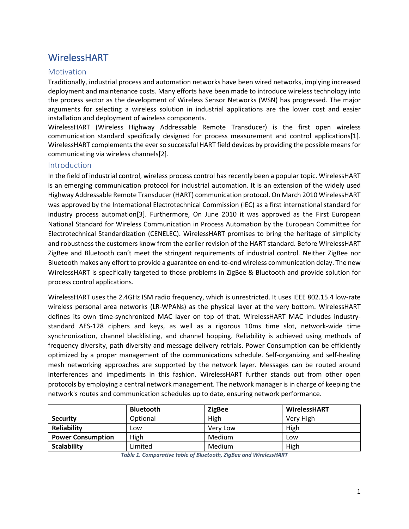# <span id="page-1-0"></span>WirelessHART

#### <span id="page-1-1"></span>**Motivation**

Traditionally, industrial process and automation networks have been wired networks, implying increased deployment and maintenance costs. Many efforts have been made to introduce wireless technology into the process sector as the development of Wireless Sensor Networks (WSN) has progressed. The major arguments for selecting a wireless solution in industrial applications are the lower cost and easier installation and deployment of wireless components.

WirelessHART (Wireless Highway Addressable Remote Transducer) is the first open wireless communication standard specifically designed for process measurement and control applications[1]. WirelessHART complements the ever so successful HART field devices by providing the possible means for communicating via wireless channels[2].

#### <span id="page-1-2"></span>Introduction

In the field of industrial control, wireless process control has recently been a popular topic. WirelessHART is an emerging communication protocol for industrial automation. It is an extension of the widely used Highway Addressable Remote Transducer (HART) communication protocol. On March 2010 WirelessHART was approved by the International Electrotechnical Commission (IEC) as a first international standard for industry process automation[3]. Furthermore, On June 2010 it was approved as the First European National Standard for Wireless Communication in Process Automation by the European Committee for Electrotechnical Standardization (CENELEC). WirelessHART promises to bring the heritage of simplicity and robustness the customers know from the earlier revision of the HART standard. Before WirelessHART ZigBee and Bluetooth can't meet the stringent requirements of industrial control. Neither ZigBee nor Bluetooth makes any effort to provide a guarantee on end-to-end wireless communication delay. The new WirelessHART is specifically targeted to those problems in ZigBee & Bluetooth and provide solution for process control applications.

WirelessHART uses the 2.4GHz ISM radio frequency, which is unrestricted. It uses IEEE 802.15.4 low-rate wireless personal area networks (LR-WPANs) as the physical layer at the very bottom. WirelessHART defines its own time-synchronized MAC layer on top of that. WirelessHART MAC includes industrystandard AES-128 ciphers and keys, as well as a rigorous 10ms time slot, network-wide time synchronization, channel blacklisting, and channel hopping. Reliability is achieved using methods of frequency diversity, path diversity and message delivery retrials. Power Consumption can be efficiently optimized by a proper management of the communications schedule. Self-organizing and self-healing mesh networking approaches are supported by the network layer. Messages can be routed around interferences and impediments in this fashion. WirelessHART further stands out from other open protocols by employing a central network management. The network manager is in charge of keeping the network's routes and communication schedules up to date, ensuring network performance.

|                          | <b>Bluetooth</b> | <b>ZigBee</b> | <b>WirelessHART</b> |
|--------------------------|------------------|---------------|---------------------|
| <b>Security</b>          | Optional         | High          | Very High           |
| Reliability              | Low              | Very Low      | High                |
| <b>Power Consumption</b> | High             | <b>Medium</b> | Low                 |
| <b>Scalability</b>       | Limited          | Medium        | High                |

*Table 1. Comparative table of Bluetooth, ZigBee and WirelessHART*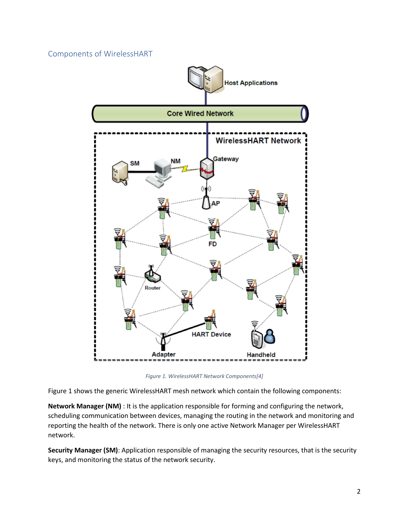### <span id="page-2-0"></span>Components of WirelessHART



*Figure 1. WirelessHART Network Components[4]*

Figure 1 shows the generic WirelessHART mesh network which contain the following components:

**Network Manager (NM)** : It is the application responsible for forming and configuring the network, scheduling communication between devices, managing the routing in the network and monitoring and reporting the health of the network. There is only one active Network Manager per WirelessHART network.

**Security Manager (SM)**: Application responsible of managing the security resources, that is the security keys, and monitoring the status of the network security.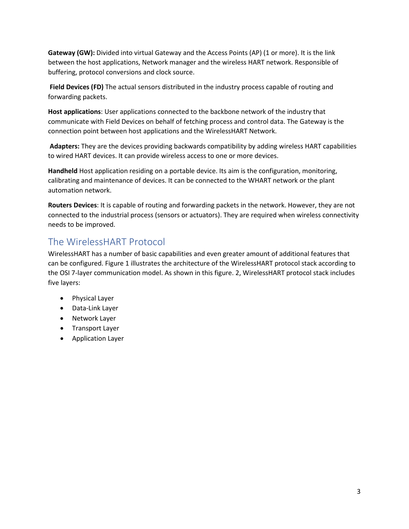**Gateway (GW):** Divided into virtual Gateway and the Access Points (AP) (1 or more). It is the link between the host applications, Network manager and the wireless HART network. Responsible of buffering, protocol conversions and clock source.

**Field Devices (FD)** The actual sensors distributed in the industry process capable of routing and forwarding packets.

**Host applications**: User applications connected to the backbone network of the industry that communicate with Field Devices on behalf of fetching process and control data. The Gateway is the connection point between host applications and the WirelessHART Network.

**Adapters:** They are the devices providing backwards compatibility by adding wireless HART capabilities to wired HART devices. It can provide wireless access to one or more devices.

**Handheld** Host application residing on a portable device. Its aim is the configuration, monitoring, calibrating and maintenance of devices. It can be connected to the WHART network or the plant automation network.

**Routers Devices**: It is capable of routing and forwarding packets in the network. However, they are not connected to the industrial process (sensors or actuators). They are required when wireless connectivity needs to be improved.

## <span id="page-3-0"></span>The WirelessHART Protocol

WirelessHART has a number of basic capabilities and even greater amount of additional features that can be configured. Figure 1 illustrates the architecture of the WirelessHART protocol stack according to the OSI 7-layer communication model. As shown in this figure. 2, WirelessHART protocol stack includes five layers:

- Physical Layer
- Data-Link Layer
- Network Layer
- Transport Layer
- Application Layer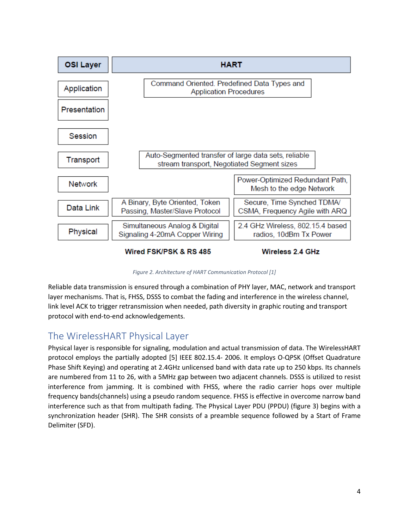

*Figure 2. Architecture of HART Communication Protocol [1]*

Reliable data transmission is ensured through a combination of PHY layer, MAC, network and transport layer mechanisms. That is, FHSS, DSSS to combat the fading and interference in the wireless channel, link level ACK to trigger retransmission when needed, path diversity in graphic routing and transport protocol with end-to-end acknowledgements.

# <span id="page-4-0"></span>The WirelessHART Physical Layer

Physical layer is responsible for signaling, modulation and actual transmission of data. The WirelessHART protocol employs the partially adopted [5] IEEE 802.15.4- 2006. It employs O-QPSK (Offset Quadrature Phase Shift Keying) and operating at 2.4GHz unlicensed band with data rate up to 250 kbps. Its channels are numbered from 11 to 26, with a 5MHz gap between two adjacent channels. DSSS is utilized to resist interference from jamming. It is combined with FHSS, where the radio carrier hops over multiple frequency bands(channels) using a pseudo random sequence. FHSS is effective in overcome narrow band interference such as that from multipath fading. The Physical Layer PDU (PPDU) (figure 3) begins with a synchronization header (SHR). The SHR consists of a preamble sequence followed by a Start of Frame Delimiter (SFD).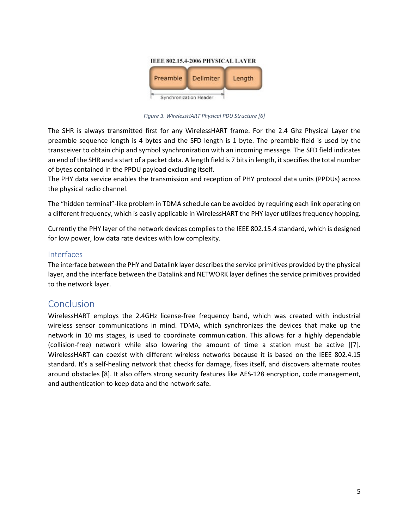

*Figure 3. WirelessHART Physical PDU Structure [6]*

The SHR is always transmitted first for any WirelessHART frame. For the 2.4 Ghz Physical Layer the preamble sequence length is 4 bytes and the SFD length is 1 byte. The preamble field is used by the transceiver to obtain chip and symbol synchronization with an incoming message. The SFD field indicates an end of the SHR and a start of a packet data. A length field is 7 bits in length, it specifies the total number of bytes contained in the PPDU payload excluding itself.

The PHY data service enables the transmission and reception of PHY protocol data units (PPDUs) across the physical radio channel.

The "hidden terminal"-like problem in TDMA schedule can be avoided by requiring each link operating on a different frequency, which is easily applicable in WirelessHART the PHY layer utilizes frequency hopping.

Currently the PHY layer of the network devices complies to the IEEE 802.15.4 standard, which is designed for low power, low data rate devices with low complexity.

#### <span id="page-5-0"></span>Interfaces

The interface between the PHY and Datalink layer describes the service primitives provided by the physical layer, and the interface between the Datalink and NETWORK layer defines the service primitives provided to the network layer.

### <span id="page-5-1"></span>Conclusion

WirelessHART employs the 2.4GHz license-free frequency band, which was created with industrial wireless sensor communications in mind. TDMA, which synchronizes the devices that make up the network in 10 ms stages, is used to coordinate communication. This allows for a highly dependable (collision-free) network while also lowering the amount of time a station must be active [[7]. WirelessHART can coexist with different wireless networks because it is based on the IEEE 802.4.15 standard. It's a self-healing network that checks for damage, fixes itself, and discovers alternate routes around obstacles [8]. It also offers strong security features like AES-128 encryption, code management, and authentication to keep data and the network safe.